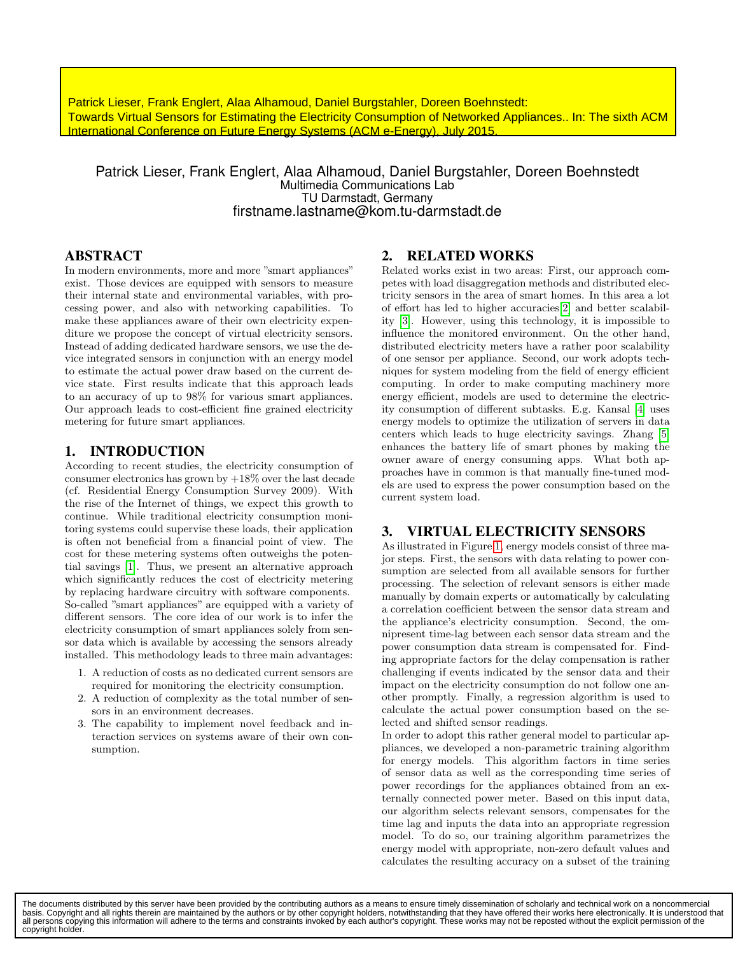**Towards Virtual Sensors for Estimating the Electricity** Patrick Lieser, Frank Englert, Alaa Alhamoud, Daniel Burgstahler, Doreen Boehnstedt: **Towards Virtual Sensors for Estimating the Electricity Consumption of Networked Appliances.. In: The sixth ACM<br>International Conference on Euture Energy Systems (ACM o Energy), July 2015** International Conference on Future Energy Systems (ACM e-Energy), July 2015.

### Patrick Lieser, Frank Englert, Alaa Alhamoud, Daniel Burgstahler, Doreen Boehnstedt Multimedia Communications Lab TU Darmstadt, Germany firstname.lastname@kom.tu-darmstadt.de

## ABSTRACT

In modern environments, more and more "smart appliances" exist. Those devices are equipped with sensors to measure their internal state and environmental variables, with processing power, and also with networking capabilities. To make these appliances aware of their own electricity expenditure we propose the concept of virtual electricity sensors. Instead of adding dedicated hardware sensors, we use the device integrated sensors in conjunction with an energy model to estimate the actual power draw based on the current device state. First results indicate that this approach leads to an accuracy of up to 98% for various smart appliances. Our approach leads to cost-efficient fine grained electricity metering for future smart appliances.

#### 1. INTRODUCTION

According to recent studies, the electricity consumption of consumer electronics has grown by  $+18\%$  over the last decade (cf. Residential Energy Consumption Survey 2009). With the rise of the Internet of things, we expect this growth to continue. While traditional electricity consumption monitoring systems could supervise these loads, their application is often not beneficial from a financial point of view. The cost for these metering systems often outweighs the potential savings [1]. Thus, we present an alternative approach which significantly reduces the cost of electricity metering by replacing hardware circuitry with software components. So-called "smart appliances" are equipped with a variety of different sensors. The core idea of our work is to infer the electricity consumption of smart appliances solely from sensor data which is available by accessing the sensors already installed. This methodology leads to three main advantages:

- 1. A reduction of costs as no dedicated current sensors are required for monitoring the electricity consumption.
- 2. A reduction of complexity as the total number of sensors in an environment decreases.
- 3. The capability to implement novel feedback and interaction services on systems aware of their own consumption.

## 2. RELATED WORKS

Related works exist in two areas: First, our approach competes with load disaggregation methods and distributed electricity sensors in the area of smart homes. In this area a lot of effort has led to higher accuracies[2] and better scalability [3]. However, using this technology, it is impossible to influence the monitored environment. On the other hand, distributed electricity meters have a rather poor scalability of one sensor per appliance. Second, our work adopts techniques for system modeling from the field of energy efficient computing. In order to make computing machinery more energy efficient, models are used to determine the electricity consumption of different subtasks. E.g. Kansal [4] uses energy models to optimize the utilization of servers in data centers which leads to huge electricity savings. Zhang [5] enhances the battery life of smart phones by making the owner aware of energy consuming apps. What both approaches have in common is that manually fine-tuned models are used to express the power consumption based on the current system load.

### 3. VIRTUAL ELECTRICITY SENSORS

As illustrated in Figure 1, energy models consist of three major steps. First, the sensors with data relating to power consumption are selected from all available sensors for further processing. The selection of relevant sensors is either made manually by domain experts or automatically by calculating a correlation coefficient between the sensor data stream and the appliance's electricity consumption. Second, the omnipresent time-lag between each sensor data stream and the power consumption data stream is compensated for. Finding appropriate factors for the delay compensation is rather challenging if events indicated by the sensor data and their impact on the electricity consumption do not follow one another promptly. Finally, a regression algorithm is used to calculate the actual power consumption based on the selected and shifted sensor readings.

In order to adopt this rather general model to particular appliances, we developed a non-parametric training algorithm for energy models. This algorithm factors in time series of sensor data as well as the corresponding time series of power recordings for the appliances obtained from an externally connected power meter. Based on this input data, our algorithm selects relevant sensors, compensates for the time lag and inputs the data into an appropriate regression model. To do so, our training algorithm parametrizes the energy model with appropriate, non-zero default values and calculates the resulting accuracy on a subset of the training

The documents distributed by this server have been provided by the contributing authors as a means to ensure timely dissemination of scholarly and technical work on a noncommercial basis. Copyright and all rights therein are maintained by the authors or by other copyright holders, notwithstanding that they have offered their works here electronically. It is understood that<br>all persons copying this in copyright holder.